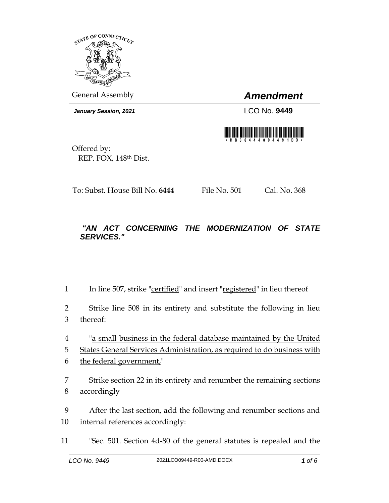

General Assembly *Amendment*

*January Session, 2021* LCO No. **9449**



Offered by: REP. FOX, 148th Dist.

To: Subst. House Bill No. **6444** File No. 501 Cal. No. 368

## *"AN ACT CONCERNING THE MODERNIZATION OF STATE SERVICES."*

1 In line 507, strike "certified" and insert "registered" in lieu thereof

2 Strike line 508 in its entirety and substitute the following in lieu 3 thereof:

4 "a small business in the federal database maintained by the United

5 States General Services Administration, as required to do business with

- 6 the federal government,"
- 7 Strike section 22 in its entirety and renumber the remaining sections 8 accordingly
- 9 After the last section, add the following and renumber sections and 10 internal references accordingly:
- 11 "Sec. 501. Section 4d-80 of the general statutes is repealed and the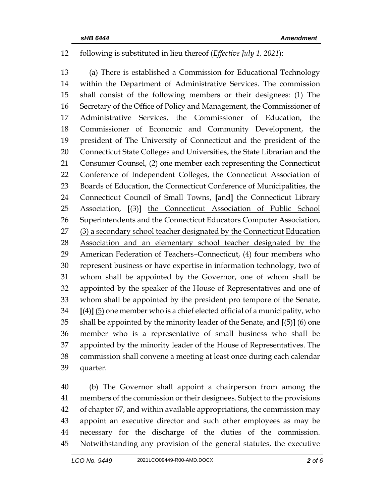## following is substituted in lieu thereof (*Effective July 1, 2021*):

 (a) There is established a Commission for Educational Technology within the Department of Administrative Services. The commission shall consist of the following members or their designees: (1) The Secretary of the Office of Policy and Management, the Commissioner of Administrative Services, the Commissioner of Education, the Commissioner of Economic and Community Development, the president of The University of Connecticut and the president of the Connecticut State Colleges and Universities, the State Librarian and the Consumer Counsel, (2) one member each representing the Connecticut Conference of Independent Colleges, the Connecticut Association of Boards of Education, the Connecticut Conference of Municipalities, the Connecticut Council of Small Towns, **[**and**]** the Connecticut Library Association, **[**(3)**]** the Connecticut Association of Public School 26 Superintendents and the Connecticut Educators Computer Association, 27 (3) a secondary school teacher designated by the Connecticut Education 28 Association and an elementary school teacher designated by the 29 American Federation of Teachers–Connecticut, (4) four members who represent business or have expertise in information technology, two of whom shall be appointed by the Governor, one of whom shall be appointed by the speaker of the House of Representatives and one of whom shall be appointed by the president pro tempore of the Senate, **[**(4)**]** (5) one member who is a chief elected official of a municipality, who shall be appointed by the minority leader of the Senate, and **[**(5)**]** (6) one member who is a representative of small business who shall be appointed by the minority leader of the House of Representatives. The commission shall convene a meeting at least once during each calendar quarter.

 (b) The Governor shall appoint a chairperson from among the members of the commission or their designees. Subject to the provisions of chapter 67, and within available appropriations, the commission may appoint an executive director and such other employees as may be necessary for the discharge of the duties of the commission. Notwithstanding any provision of the general statutes, the executive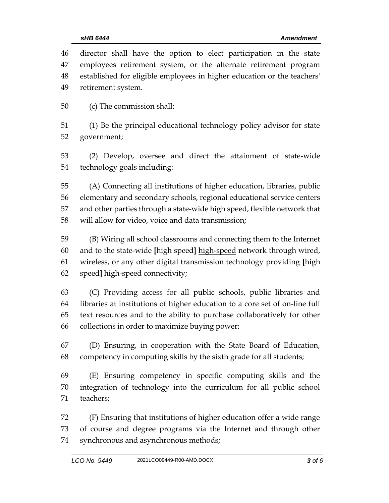| 46 | director shall have the option to elect participation in the state          |
|----|-----------------------------------------------------------------------------|
| 47 | employees retirement system, or the alternate retirement program            |
| 48 | established for eligible employees in higher education or the teachers'     |
| 49 | retirement system.                                                          |
| 50 | (c) The commission shall:                                                   |
| 51 | (1) Be the principal educational technology policy advisor for state        |
| 52 | government;                                                                 |
| 53 | (2) Develop, oversee and direct the attainment of state-wide                |
| 54 | technology goals including:                                                 |
| 55 | (A) Connecting all institutions of higher education, libraries, public      |
| 56 | elementary and secondary schools, regional educational service centers      |
| 57 | and other parties through a state-wide high speed, flexible network that    |
| 58 | will allow for video, voice and data transmission;                          |
| 59 | (B) Wiring all school classrooms and connecting them to the Internet        |
| 60 | and to the state-wide [high speed] high-speed network through wired,        |
| 61 | wireless, or any other digital transmission technology providing [high      |
| 62 | speed] high-speed connectivity;                                             |
| 63 | (C) Providing access for all public schools, public libraries and           |
| 64 | libraries at institutions of higher education to a core set of on-line full |
| 65 | text resources and to the ability to purchase collaboratively for other     |
| 66 | collections in order to maximize buying power;                              |
| 67 | (D) Ensuring, in cooperation with the State Board of Education,             |
| 68 | competency in computing skills by the sixth grade for all students;         |
| 69 | (E) Ensuring competency in specific computing skills and the                |
| 70 | integration of technology into the curriculum for all public school         |
| 71 | teachers;                                                                   |
| 72 | (F) Ensuring that institutions of higher education offer a wide range       |
| 73 | of course and degree programs via the Internet and through other            |

synchronous and asynchronous methods;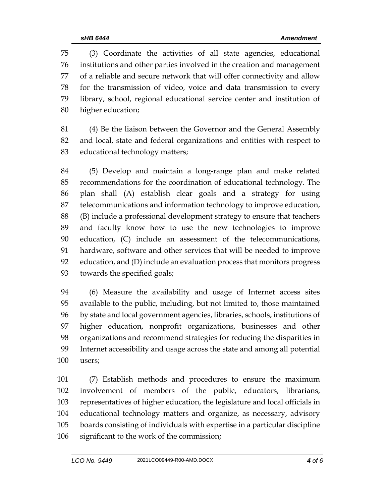(3) Coordinate the activities of all state agencies, educational institutions and other parties involved in the creation and management of a reliable and secure network that will offer connectivity and allow for the transmission of video, voice and data transmission to every library, school, regional educational service center and institution of higher education;

 (4) Be the liaison between the Governor and the General Assembly and local, state and federal organizations and entities with respect to educational technology matters;

 (5) Develop and maintain a long-range plan and make related recommendations for the coordination of educational technology. The plan shall (A) establish clear goals and a strategy for using telecommunications and information technology to improve education, (B) include a professional development strategy to ensure that teachers and faculty know how to use the new technologies to improve education, (C) include an assessment of the telecommunications, hardware, software and other services that will be needed to improve education, and (D) include an evaluation process that monitors progress towards the specified goals;

 (6) Measure the availability and usage of Internet access sites available to the public, including, but not limited to, those maintained by state and local government agencies, libraries, schools, institutions of higher education, nonprofit organizations, businesses and other organizations and recommend strategies for reducing the disparities in Internet accessibility and usage across the state and among all potential users;

 (7) Establish methods and procedures to ensure the maximum involvement of members of the public, educators, librarians, representatives of higher education, the legislature and local officials in educational technology matters and organize, as necessary, advisory boards consisting of individuals with expertise in a particular discipline significant to the work of the commission;